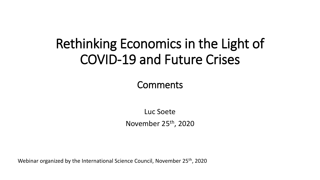## Rethinking Economics in the Light of COVID-19 and Future Crises

#### **Comments**

Luc Soete November 25th, 2020

Webinar organized by the International Science Council, November 25<sup>th</sup>, 2020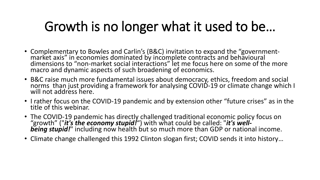# Growth is no longer what it used to be…

- Complementary to Bowles and Carlin's (B&C) invitation to expand the "governmentmarket axis" in economies dominated by incomplete contracts and behavioural dimensions to "non-market social interactions" let me focus here on some of the more macro and dynamic aspects of such broadening of economics.
- B&C raise much more fundamental issues about democracy, ethics, freedom and social norms than just providing a framework for analysing COVID-19 or climate change which I will not address here.
- I rather focus on the COVID-19 pandemic and by extension other "future crises" as in the title of this webinar.
- The COVID-19 pandemic has directly challenged traditional economic policy focus on "growth" ("*it's the economy stupid!*") with what could be called: "*it's well***being stupid!**" including now health but so much more than GDP or national income.
- Climate change challenged this 1992 Clinton slogan first; COVID sends it into history…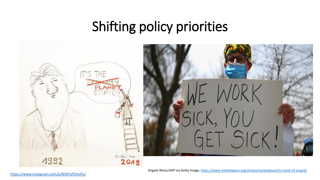# Shifting policy priorities



Angela Weiss/AFP via Getty Image,<https://www.marketplace.org/shows/marketplace/its-covid-19-stupid/>

<https://www.instagram.com/p/BtWYyfOhoPe/>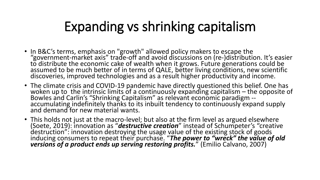# Expanding vs shrinking capitalism

- In B&C's terms, emphasis on "growth" allowed policy makers to escape the "government-market axis" trade-off and avoid discussions on (re-)distribution. It's easier to distribute the economic cake of wealth when it grows. Future generations could be assumed to be much better of in terms of QALE, better living conditions, new scientific discoveries, improved technologies and as a result higher productivity and income.
- The climate crisis and COVID-19 pandemic have directly questioned this belief. One has woken up to the intrinsic limits of a continuously expanding capitalism – the opposite of Bowles and Carlin's "Shrinking Capitalism" as relevant economic paradigm - accumulating indefinitely thanks to its inbuilt tendency to continuously expand supply and demand for new material wants.
- This holds not just at the macro-level; but also at the firm level as argued elsewhere (Soete, 2019): innovation as "*destructive creation*" instead of Schumpeter's "creative destruction": innovation destroying the usage value of the existing stock of goods inducing consumers to repeat their purchase. "*The power to "wreck" the value of old versions of a product ends up serving restoring profits.*" (Emilio Calvano, 2007)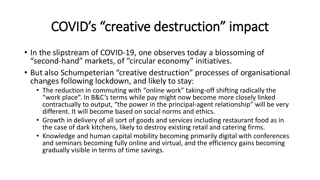# COVID's "creative destruction" impact

- In the slipstream of COVID-19, one observes today a blossoming of "second-hand" markets, of "circular economy" initiatives.
- But also Schumpeterian "creative destruction" processes of organisational changes following lockdown, and likely to stay:
	- The reduction in commuting with "online work" taking-off shifting radically the "work place". In B&C's terms while pay might now become more closely linked contractually to output, "the power in the principal-agent relationship" will be very different. It will become based on social norms and ethics.
	- Growth in delivery of all sort of goods and services including restaurant food as in the case of dark kitchens, likely to destroy existing retail and catering firms.
	- Knowledge and human capital mobility becoming primarily digital with conferences and seminars becoming fully online and virtual, and the efficiency gains becoming gradually visible in terms of time savings.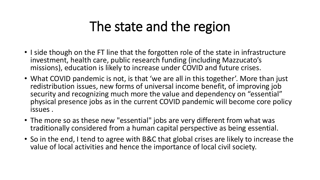## The state and the region

- I side though on the FT line that the forgotten role of the state in infrastructure investment, health care, public research funding (including Mazzucato's missions), education is likely to increase under COVID and future crises.
- What COVID pandemic is not, is that 'we are all in this together'. More than just redistribution issues, new forms of universal income benefit, of improving job security and recognizing much more the value and dependency on "essential" physical presence jobs as in the current COVID pandemic will become core policy issues .
- The more so as these new "essential" jobs are very different from what was traditionally considered from a human capital perspective as being essential.
- So in the end, I tend to agree with B&C that global crises are likely to increase the value of local activities and hence the importance of local civil society.